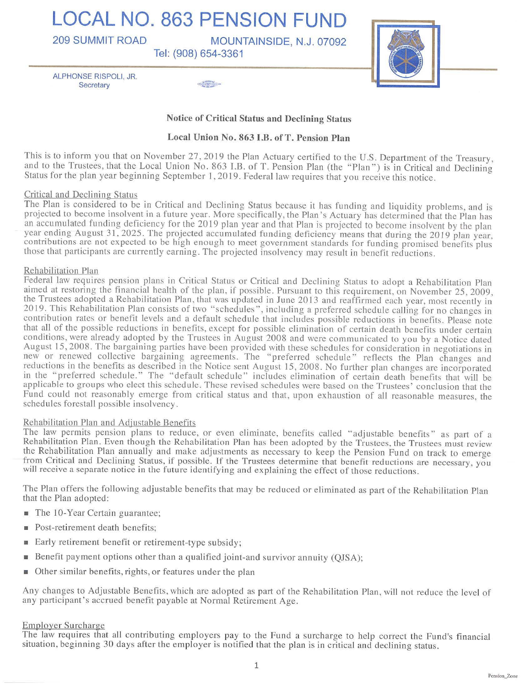**LOCAL NO. 863 PENSION FUND** 

209 **SUMMIT ROAD MOUNTAINSIDE, N.J.** 07092

**Tel:** (908) 654-3361



ALPHONSE RISPOLI, JR. Secretary *Secretary* 

# **Notice of Critical Status and Declining Status**

# **Local Union No. 863 I.B. ofT. Pension Plan**

This is to inform you that on November 27, 2019 the Plan Actuary certified to the U.S. Department of the Treasury, and to the Trustees, that the Local Union No . 863 I.B. of T. Pension Plan (the "Plan") is in Critical and Declining Status for the plan year beginning September I, 2019. Federal law requires that you receive this notice.

### Critical and Declining Status

The Plan is considered to be in Critical and Declining Status because it has funding and liquidity problems, and is projected to become insolvent in a future year. More specifically, the Plan's Actuary has determined that the Plan has an accumulated funding deficiency for the 2019 plan year and that Plan is projected to become insolvent by the plan year ending August 31, 2025. The projected accumulated funding deficiency means that during the 2019 plan year, contributions are not expected to be high enough to meet government standards for funding promised benefits plus those that participants are currently earning. The projected insolvency may result in benefit reductions.

### Rehabilitation Plan

Federal law requires pension plans in Critical Status or Critical and Declining Status to adopt a Rehabilitation Plan aimed at restoring the financial health of the plan, if possible. Pursuant to this requirement, on November 25, 2009, the Trustees adopted a Rehabilitation Plan, that was updated in June 2013 and reaffirmed each year, most recently in 2019. This Rehabilitation Plan consists of two "schedules", including a preferred schedule calling for no changes in contribution rates or benefit levels and a default schedule that includes possible reductions in benefits. Please note that all of the possible reductions in benefits, except for possible elimination of certain death benefits under certain conditions, were already adopted by the Trustees in August 2008 and were communicated to you by a Notice dated August 15, 2008. The bargaining parties have been provided with these schedules for consideration in negotiations in new or renewed collective bargaining agreements. The "preferred schedule" reflects the Plan changes and reductions in the benefits as described in the Notice sent August 15, 2008. No further plan changes are incorporated in the "preferred schedule." The "default schedule" includes elimination of certain death benefits that will be applicable to groups who elect this schedule. These revised schedules were based on the Trustees' conclusion that the Fund could not reasonably emerge from critical status and that, upon exhaustion of all reasonable measures, the schedules forestall possible insolvency.

### Rehabilitation Plan and Adjustable Benefits

The law permits pension plans to reduce, or even eliminate, benefits called " adjustable benefits" as part of a Rehabilitation Plan. Even though the Rehabilitation Plan has been adopted by the Trustees, the Trustees must review the Rehabilitation Plan annually and make adjustments as necessary to keep the Pension Fund on track to emerge from Critical and Declining Status, if possible. If the Trustees determine that benefit reductions are necessary, you will receive a separate notice in the future identifying and explaining the effect of those reductions.

The Plan offers the following adjustable benefits that may be reduced or eliminated as part of the Rehabilitation Plan that the Plan adopted:

- The 10-Year Certain guarantee;
- Post-retirement death benefits;
- Early retirement benefit or retirement-type subsidy;
- Benefit payment options other than a qualified joint-and survivor annuity (QJSA);
- Other similar benefits, rights, or features under the plan

Any changes to Adjustable Benefits, which are adopted as part of the Rehabilitation Plan, will not reduce the level of any participant's accrued benefit payable at Normal Retirement Age.

### Employer Surcharge

The law requires that all contributing employers pay to the Fund a surcharge to help correct the Fund's financial situation, beginning 30 days after the employer is notified that the plan is in critical and declining status.